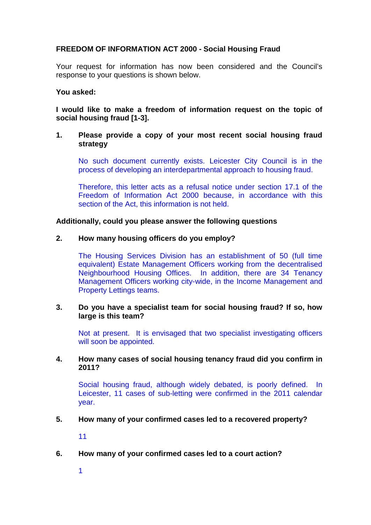# **FREEDOM OF INFORMATION ACT 2000 - Social Housing Fraud**

Your request for information has now been considered and the Council's response to your questions is shown below.

### **You asked:**

**I would like to make a freedom of information request on the topic of social housing fraud [1-3].**

### **1. Please provide a copy of your most recent social housing fraud strategy**

No such document currently exists. Leicester City Council is in the process of developing an interdepartmental approach to housing fraud.

Therefore, this letter acts as a refusal notice under section 17.1 of the Freedom of Information Act 2000 because, in accordance with this section of the Act, this information is not held.

### **Additionally, could you please answer the following questions**

### **2. How many housing officers do you employ?**

The Housing Services Division has an establishment of 50 (full time equivalent) Estate Management Officers working from the decentralised Neighbourhood Housing Offices. In addition, there are 34 Tenancy Management Officers working city-wide, in the Income Management and Property Lettings teams.

### **3. Do you have a specialist team for social housing fraud? If so, how large is this team?**

Not at present. It is envisaged that two specialist investigating officers will soon be appointed.

# **4. How many cases of social housing tenancy fraud did you confirm in 2011?**

Social housing fraud, although widely debated, is poorly defined. In Leicester, 11 cases of sub-letting were confirmed in the 2011 calendar year.

### **5. How many of your confirmed cases led to a recovered property?**

11

**6. How many of your confirmed cases led to a court action?**

1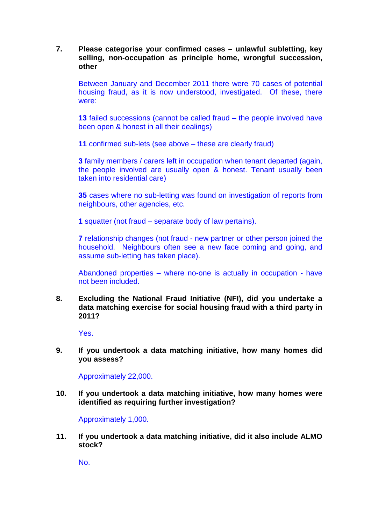# **7. Please categorise your confirmed cases – unlawful subletting, key selling, non-occupation as principle home, wrongful succession, other**

Between January and December 2011 there were 70 cases of potential housing fraud, as it is now understood, investigated. Of these, there were:

**13** failed successions (cannot be called fraud – the people involved have been open & honest in all their dealings)

**11** confirmed sub-lets (see above – these are clearly fraud)

**3** family members / carers left in occupation when tenant departed (again, the people involved are usually open & honest. Tenant usually been taken into residential care)

**35** cases where no sub-letting was found on investigation of reports from neighbours, other agencies, etc.

**1** squatter (not fraud – separate body of law pertains).

**7** relationship changes (not fraud - new partner or other person joined the household. Neighbours often see a new face coming and going, and assume sub-letting has taken place).

Abandoned properties – where no-one is actually in occupation - have not been included.

**8. Excluding the National Fraud Initiative (NFI), did you undertake a data matching exercise for social housing fraud with a third party in 2011?** 

Yes.

**9. If you undertook a data matching initiative, how many homes did you assess?**

Approximately 22,000.

**10. If you undertook a data matching initiative, how many homes were identified as requiring further investigation?**

Approximately 1,000.

**11. If you undertook a data matching initiative, did it also include ALMO stock?** 

No.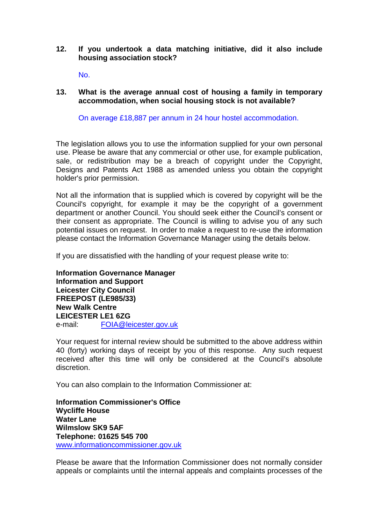## **12. If you undertook a data matching initiative, did it also include housing association stock?**

No.

# **13. What is the average annual cost of housing a family in temporary accommodation, when social housing stock is not available?**

On average £18,887 per annum in 24 hour hostel accommodation.

The legislation allows you to use the information supplied for your own personal use. Please be aware that any commercial or other use, for example publication, sale, or redistribution may be a breach of copyright under the Copyright, Designs and Patents Act 1988 as amended unless you obtain the copyright holder's prior permission.

Not all the information that is supplied which is covered by copyright will be the Council's copyright, for example it may be the copyright of a government department or another Council. You should seek either the Council's consent or their consent as appropriate. The Council is willing to advise you of any such potential issues on request. In order to make a request to re-use the information please contact the Information Governance Manager using the details below.

If you are dissatisfied with the handling of your request please write to:

**Information Governance Manager Information and Support Leicester City Council FREEPOST (LE985/33) New Walk Centre LEICESTER LE1 6ZG**  e-mail: FOIA@leicester.gov.uk

Your request for internal review should be submitted to the above address within 40 (forty) working days of receipt by you of this response. Any such request received after this time will only be considered at the Council's absolute discretion.

You can also complain to the Information Commissioner at:

**Information Commissioner's Office Wycliffe House Water Lane Wilmslow SK9 5AF Telephone: 01625 545 700**  www.informationcommissioner.gov.uk

Please be aware that the Information Commissioner does not normally consider appeals or complaints until the internal appeals and complaints processes of the